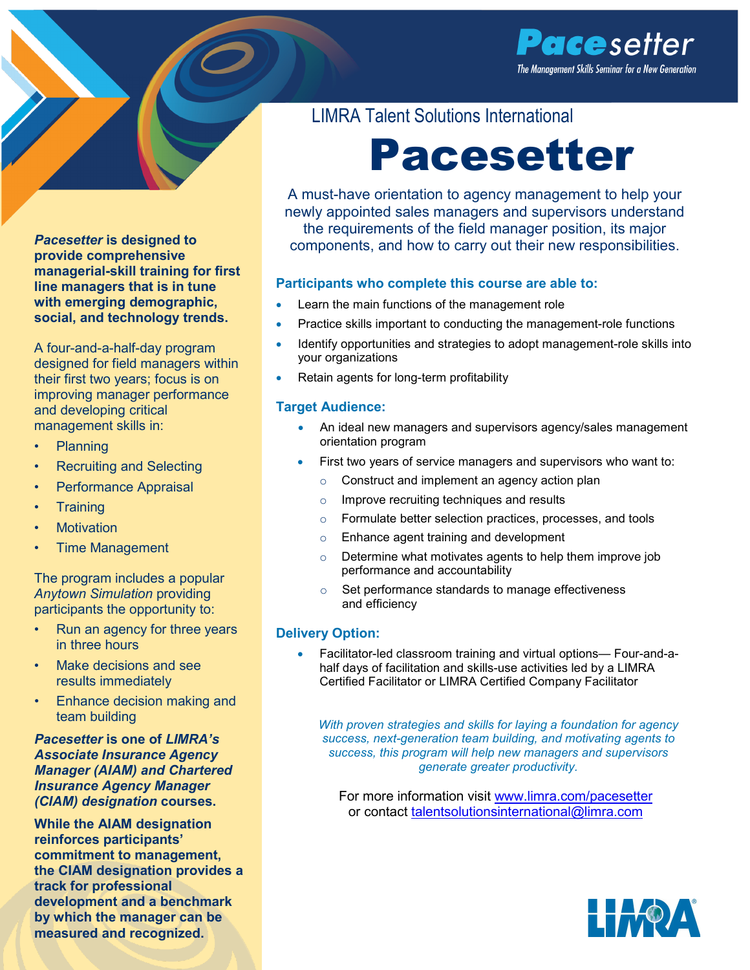



**provide comprehensive managerial-skill training for first line managers that is in tune with emerging demographic, social, and technology trends.**

A four-and-a-half-day program designed for field managers within their first two years; focus is on improving manager performance and developing critical management skills in:

- Planning
- Recruiting and Selecting
- Performance Appraisal
- Training
- **Motivation**
- Time Management

The program includes a popular *Anytown Simulation* providing participants the opportunity to:

- Run an agency for three years in three hours
- Make decisions and see results immediately
- Enhance decision making and team building

*Pacesetter* **is one of** *LIMRA's Associate Insurance Agency Manager (AIAM) and Chartered Insurance Agency Manager (CIAM) designation* **courses.**

**While the AIAM designation reinforces participants' commitment to management, the CIAM designation provides a track for professional development and a benchmark by which the manager can be measured and recognized.**

### LIMRA Talent Solutions International

# Pacesetter

A must-have orientation to agency management to help your newly appointed sales managers and supervisors understand the requirements of the field manager position, its major components, and how to carry out their new responsibilities.

#### **Participants who complete this course are able to:**

- Learn the main functions of the management role
- Practice skills important to conducting the management-role functions
- Identify opportunities and strategies to adopt management-role skills into your organizations
- Retain agents for long-term profitability

#### **Target Audience:**

- An ideal new managers and supervisors agency/sales management orientation program
- First two years of service managers and supervisors who want to:
	- o Construct and implement an agency action plan
	- o Improve recruiting techniques and results
	- o Formulate better selection practices, processes, and tools
	- o Enhance agent training and development
	- o Determine what motivates agents to help them improve job performance and accountability
	- o Set performance standards to manage effectiveness and efficiency

#### **Delivery Option:**

• Facilitator-led classroom training and virtual options— Four-and-ahalf days of facilitation and skills-use activities led by a LIMRA Certified Facilitator or LIMRA Certified Company Facilitator

*With proven strategies and skills for laying a foundation for agency success, next-generation team building, and motivating agents to success, this program will help new managers and supervisors generate greater productivity.*

For more information visit [www.limra.com/pacesetter](http://www.limra.com/pacesetter) or contact [talentsolutionsinternational@limra.com](mailto:talentsolutionsinternational@limra.com?subject=Pacestter)